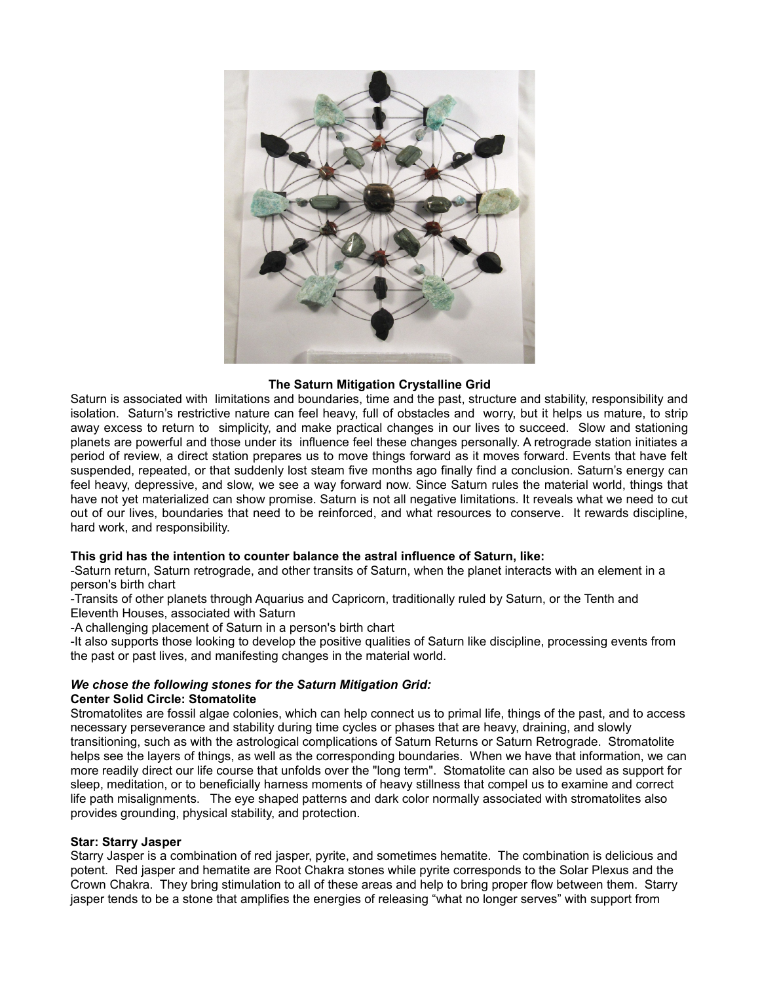

# **The Saturn Mitigation Crystalline Grid**

Saturn is associated with limitations and boundaries, time and the past, structure and stability, responsibility and isolation. Saturn's restrictive nature can feel heavy, full of obstacles and worry, but it helps us mature, to strip away excess to return to simplicity, and make practical changes in our lives to succeed. Slow and stationing planets are powerful and those under its influence feel these changes personally. A retrograde station initiates a period of review, a direct station prepares us to move things forward as it moves forward. Events that have felt suspended, repeated, or that suddenly lost steam five months ago finally find a conclusion. Saturn's energy can feel heavy, depressive, and slow, we see a way forward now. Since Saturn rules the material world, things that have not yet materialized can show promise. Saturn is not all negative limitations. It reveals what we need to cut out of our lives, boundaries that need to be reinforced, and what resources to conserve. It rewards discipline, hard work, and responsibility.

## **This grid has the intention to counter balance the astral influence of Saturn, like:**

-Saturn return, Saturn retrograde, and other transits of Saturn, when the planet interacts with an element in a person's birth chart

-Transits of other planets through Aquarius and Capricorn, traditionally ruled by Saturn, or the Tenth and Eleventh Houses, associated with Saturn

-A challenging placement of Saturn in a person's birth chart

-It also supports those looking to develop the positive qualities of Saturn like discipline, processing events from the past or past lives, and manifesting changes in the material world.

#### *We chose the following stones for the Saturn Mitigation Grid:* **Center Solid Circle: Stomatolite**

Stromatolites are fossil algae colonies, which can help connect us to primal life, things of the past, and to access necessary perseverance and stability during time cycles or phases that are heavy, draining, and slowly transitioning, such as with the astrological complications of Saturn Returns or Saturn Retrograde. Stromatolite helps see the layers of things, as well as the corresponding boundaries. When we have that information, we can more readily direct our life course that unfolds over the "long term". Stomatolite can also be used as support for sleep, meditation, or to beneficially harness moments of heavy stillness that compel us to examine and correct life path misalignments. The eye shaped patterns and dark color normally associated with stromatolites also provides grounding, physical stability, and protection.

## **Star: Starry Jasper**

Starry Jasper is a combination of red jasper, pyrite, and sometimes hematite. The combination is delicious and potent. Red jasper and hematite are Root Chakra stones while pyrite corresponds to the Solar Plexus and the Crown Chakra. They bring stimulation to all of these areas and help to bring proper flow between them. Starry jasper tends to be a stone that amplifies the energies of releasing "what no longer serves" with support from